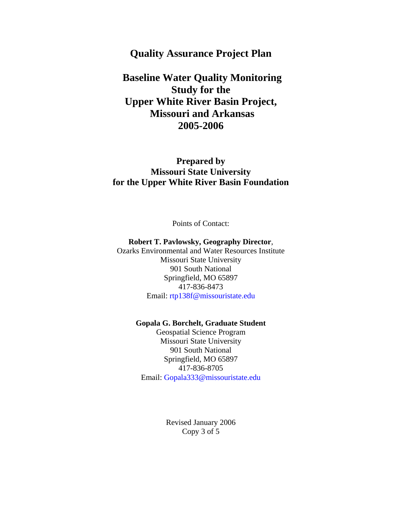# **Quality Assurance Project Plan**

 **Baseline Water Quality Monitoring Study for the Upper White River Basin Project, Missouri and Arkansas 2005-2006** 

**Prepared by Missouri State University for the Upper White River Basin Foundation** 

Points of Contact:

#### **Robert T. Pavlowsky, Geography Director**,

Ozarks Environmental and Water Resources Institute Missouri State University 901 South National Springfield, MO 65897 417-836-8473 Email: rtp138f@missouristate.edu

#### **Gopala G. Borchelt, Graduate Student**

Geospatial Science Program Missouri State University 901 South National Springfield, MO 65897 417-836-8705 Email: Gopala333@missouristate.edu

> Revised January 2006 Copy 3 of 5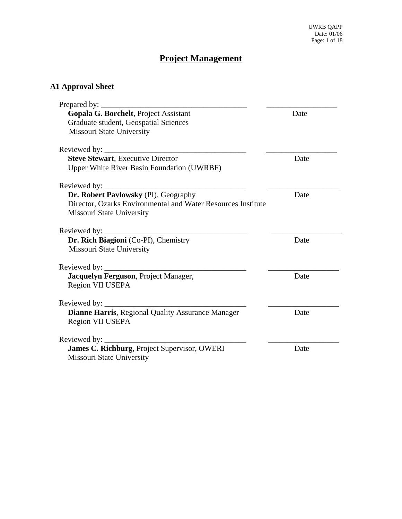# **Project Management**

# **A1 Approval Sheet**

| Prepared by:                                                 |      |
|--------------------------------------------------------------|------|
| Gopala G. Borchelt, Project Assistant                        | Date |
| Graduate student, Geospatial Sciences                        |      |
| Missouri State University                                    |      |
|                                                              |      |
| <b>Steve Stewart, Executive Director</b>                     | Date |
| Upper White River Basin Foundation (UWRBF)                   |      |
| Reviewed by: _____                                           |      |
| Dr. Robert Pavlowsky (PI), Geography                         | Date |
| Director, Ozarks Environmental and Water Resources Institute |      |
| <b>Missouri State University</b>                             |      |
|                                                              |      |
| Dr. Rich Biagioni (Co-PI), Chemistry                         | Date |
| Missouri State University                                    |      |
|                                                              |      |
| Jacquelyn Ferguson, Project Manager,                         | Date |
| Region VII USEPA                                             |      |
|                                                              |      |
| Dianne Harris, Regional Quality Assurance Manager            | Date |
| Region VII USEPA                                             |      |
| Reviewed by:                                                 |      |
| James C. Richburg, Project Supervisor, OWERI                 | Date |
| Missouri State University                                    |      |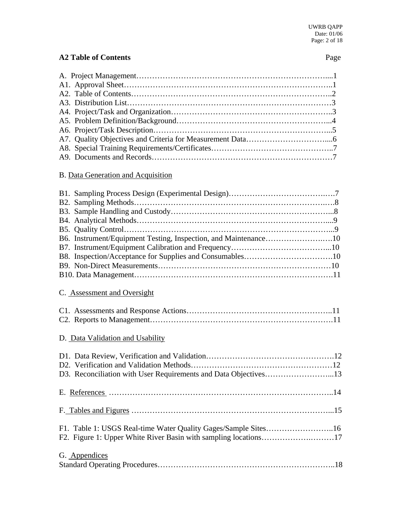# **A2 Table of Contents** Page

# B. Data Generation and Acquisition

# C. Assessment and Oversight

# D. Data Validation and Usability

| F1. Table 1: USGS Real-time Water Quality Gages/Sample Sites16 |  |
|----------------------------------------------------------------|--|
|                                                                |  |
| G. Appendices                                                  |  |
|                                                                |  |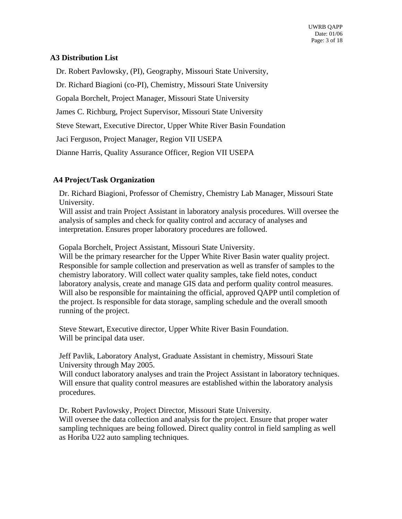#### **A3 Distribution List**

Dr. Robert Pavlowsky, (PI), Geography, Missouri State University,

Dr. Richard Biagioni (co-PI), Chemistry, Missouri State University

Gopala Borchelt, Project Manager, Missouri State University

James C. Richburg, Project Supervisor, Missouri State University

Steve Stewart, Executive Director, Upper White River Basin Foundation

Jaci Ferguson, Project Manager, Region VII USEPA

Dianne Harris, Quality Assurance Officer, Region VII USEPA

#### **A4 Project/Task Organization**

Dr. Richard Biagioni, Professor of Chemistry, Chemistry Lab Manager, Missouri State University.

Will assist and train Project Assistant in laboratory analysis procedures. Will oversee the analysis of samples and check for quality control and accuracy of analyses and interpretation. Ensures proper laboratory procedures are followed.

Gopala Borchelt, Project Assistant, Missouri State University.

Will be the primary researcher for the Upper White River Basin water quality project. Responsible for sample collection and preservation as well as transfer of samples to the chemistry laboratory. Will collect water quality samples, take field notes, conduct laboratory analysis, create and manage GIS data and perform quality control measures. Will also be responsible for maintaining the official, approved QAPP until completion of the project. Is responsible for data storage, sampling schedule and the overall smooth running of the project.

Steve Stewart, Executive director, Upper White River Basin Foundation. Will be principal data user.

Jeff Pavlik, Laboratory Analyst, Graduate Assistant in chemistry, Missouri State University through May 2005.

Will conduct laboratory analyses and train the Project Assistant in laboratory techniques. Will ensure that quality control measures are established within the laboratory analysis procedures.

Dr. Robert Pavlowsky , Project Director, Missouri State University. Will oversee the data collection and analysis for the project. Ensure that proper water sampling techniques are being followed. Direct quality control in field sampling as well as Horiba U22 auto sampling techniques.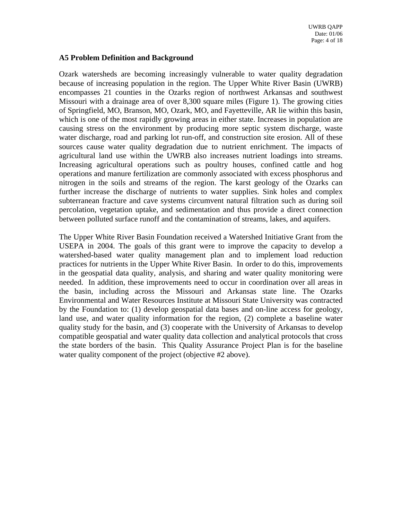#### **A5 Problem Definition and Background**

Ozark watersheds are becoming increasingly vulnerable to water quality degradation because of increasing population in the region. The Upper White River Basin (UWRB) encompasses 21 counties in the Ozarks region of northwest Arkansas and southwest Missouri with a drainage area of over 8,300 square miles (Figure 1). The growing cities of Springfield, MO, Branson, MO, Ozark, MO, and Fayetteville, AR lie within this basin, which is one of the most rapidly growing areas in either state. Increases in population are causing stress on the environment by producing more septic system discharge, waste water discharge, road and parking lot run-off, and construction site erosion. All of these sources cause water quality degradation due to nutrient enrichment. The impacts of agricultural land use within the UWRB also increases nutrient loadings into streams. Increasing agricultural operations such as poultry houses, confined cattle and hog operations and manure fertilization are commonly associated with excess phosphorus and nitrogen in the soils and streams of the region. The karst geology of the Ozarks can further increase the discharge of nutrients to water supplies. Sink holes and complex subterranean fracture and cave systems circumvent natural filtration such as during soil percolation, vegetation uptake, and sedimentation and thus provide a direct connection between polluted surface runoff and the contamination of streams, lakes, and aquifers.

The Upper White River Basin Foundation received a Watershed Initiative Grant from the USEPA in 2004. The goals of this grant were to improve the capacity to develop a watershed-based water quality management plan and to implement load reduction practices for nutrients in the Upper White River Basin. In order to do this, improvements in the geospatial data quality, analysis, and sharing and water quality monitoring were needed. In addition, these improvements need to occur in coordination over all areas in the basin, including across the Missouri and Arkansas state line. The Ozarks Environmental and Water Resources Institute at Missouri State University was contracted by the Foundation to: (1) develop geospatial data bases and on-line access for geology, land use, and water quality information for the region, (2) complete a baseline water quality study for the basin, and (3) cooperate with the University of Arkansas to develop compatible geospatial and water quality data collection and analytical protocols that cross the state borders of the basin. This Quality Assurance Project Plan is for the baseline water quality component of the project (objective #2 above).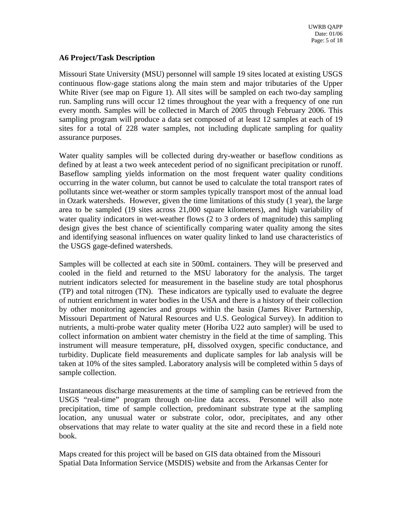#### **A6 Project/Task Description**

Missouri State University (MSU) personnel will sample 19 sites located at existing USGS continuous flow-gage stations along the main stem and major tributaries of the Upper White River (see map on Figure 1). All sites will be sampled on each two-day sampling run. Sampling runs will occur 12 times throughout the year with a frequency of one run every month. Samples will be collected in March of 2005 through February 2006. This sampling program will produce a data set composed of at least 12 samples at each of 19 sites for a total of 228 water samples, not including duplicate sampling for quality assurance purposes.

Water quality samples will be collected during dry-weather or baseflow conditions as defined by at least a two week antecedent period of no significant precipitation or runoff. Baseflow sampling yields information on the most frequent water quality conditions occurring in the water column, but cannot be used to calculate the total transport rates of pollutants since wet-weather or storm samples typically transport most of the annual load in Ozark watersheds. However, given the time limitations of this study (1 year), the large area to be sampled (19 sites across 21,000 square kilometers), and high variability of water quality indicators in wet-weather flows (2 to 3 orders of magnitude) this sampling design gives the best chance of scientifically comparing water quality among the sites and identifying seasonal influences on water quality linked to land use characteristics of the USGS gage-defined watersheds.

Samples will be collected at each site in 500mL containers. They will be preserved and cooled in the field and returned to the MSU laboratory for the analysis. The target nutrient indicators selected for measurement in the baseline study are total phosphorus (TP) and total nitrogen (TN). These indicators are typically used to evaluate the degree of nutrient enrichment in water bodies in the USA and there is a history of their collection by other monitoring agencies and groups within the basin (James River Partnership, Missouri Department of Natural Resources and U.S. Geological Survey). In addition to nutrients, a multi-probe water quality meter (Horiba U22 auto sampler) will be used to collect information on ambient water chemistry in the field at the time of sampling. This instrument will measure temperature, pH, dissolved oxygen, specific conductance, and turbidity. Duplicate field measurements and duplicate samples for lab analysis will be taken at 10% of the sites sampled. Laboratory analysis will be completed within 5 days of sample collection.

Instantaneous discharge measurements at the time of sampling can be retrieved from the USGS "real-time" program through on-line data access. Personnel will also note precipitation, time of sample collection, predominant substrate type at the sampling location, any unusual water or substrate color, odor, precipitates, and any other observations that may relate to water quality at the site and record these in a field note book.

Maps created for this project will be based on GIS data obtained from the Missouri Spatial Data Information Service (MSDIS) website and from the Arkansas Center for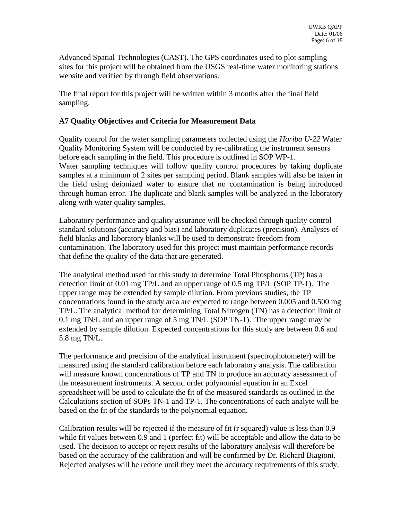Advanced Spatial Technologies (CAST). The GPS coordinates used to plot sampling sites for this project will be obtained from the USGS real-time water monitoring stations website and verified by through field observations.

The final report for this project will be written within 3 months after the final field sampling.

# **A7 Quality Objectives and Criteria for Measurement Data**

Quality control for the water sampling parameters collected using the *Horiba U-22* Water Quality Monitoring System will be conducted by re-calibrating the instrument sensors before each sampling in the field. This procedure is outlined in SOP WP-1. Water sampling techniques will follow quality control procedures by taking duplicate samples at a minimum of 2 sites per sampling period. Blank samples will also be taken in the field using deionized water to ensure that no contamination is being introduced through human error. The duplicate and blank samples will be analyzed in the laboratory along with water quality samples.

Laboratory performance and quality assurance will be checked through quality control standard solutions (accuracy and bias) and laboratory duplicates (precision). Analyses of field blanks and laboratory blanks will be used to demonstrate freedom from contamination. The laboratory used for this project must maintain performance records that define the quality of the data that are generated.

The analytical method used for this study to determine Total Phosphorus (TP) has a detection limit of 0.01 mg TP/L and an upper range of 0.5 mg TP/L (SOP TP-1). The upper range may be extended by sample dilution. From previous studies, the TP concentrations found in the study area are expected to range between 0.005 and 0.500 mg TP/L. The analytical method for determining Total Nitrogen (TN) has a detection limit of 0.1 mg TN/L and an upper range of 5 mg TN/L (SOP TN-1). The upper range may be extended by sample dilution. Expected concentrations for this study are between 0.6 and 5.8 mg TN/L.

The performance and precision of the analytical instrument (spectrophotometer) will be measured using the standard calibration before each laboratory analysis. The calibration will measure known concentrations of TP and TN to produce an accuracy assessment of the measurement instruments. A second order polynomial equation in an Excel spreadsheet will be used to calculate the fit of the measured standards as outlined in the Calculations section of SOPs TN-1 and TP-1. The concentrations of each analyte will be based on the fit of the standards to the polynomial equation.

Calibration results will be rejected if the measure of fit (r squared) value is less than 0.9 while fit values between 0.9 and 1 (perfect fit) will be acceptable and allow the data to be used. The decision to accept or reject results of the laboratory analysis will therefore be based on the accuracy of the calibration and will be confirmed by Dr. Richard Biagioni. Rejected analyses will be redone until they meet the accuracy requirements of this study.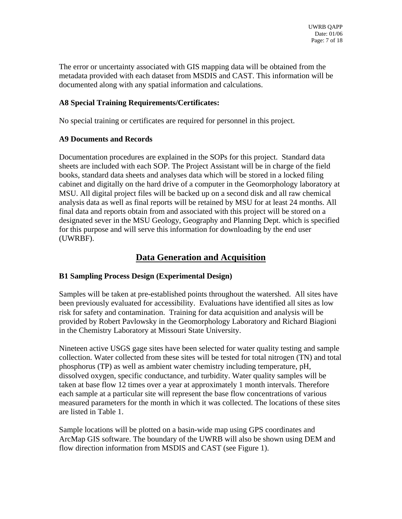The error or uncertainty associated with GIS mapping data will be obtained from the metadata provided with each dataset from MSDIS and CAST. This information will be documented along with any spatial information and calculations.

# **A8 Special Training Requirements/Certificates:**

No special training or certificates are required for personnel in this project.

# **A9 Documents and Records**

Documentation procedures are explained in the SOPs for this project. Standard data sheets are included with each SOP. The Project Assistant will be in charge of the field books, standard data sheets and analyses data which will be stored in a locked filing cabinet and digitally on the hard drive of a computer in the Geomorphology laboratory at MSU. All digital project files will be backed up on a second disk and all raw chemical analysis data as well as final reports will be retained by MSU for at least 24 months. All final data and reports obtain from and associated with this project will be stored on a designated sever in the MSU Geology, Geography and Planning Dept. which is specified for this purpose and will serve this information for downloading by the end user (UWRBF).

# **Data Generation and Acquisition**

# **B1 Sampling Process Design (Experimental Design)**

Samples will be taken at pre-established points throughout the watershed. All sites have been previously evaluated for accessibility. Evaluations have identified all sites as low risk for safety and contamination. Training for data acquisition and analysis will be provided by Robert Pavlowsky in the Geomorphology Laboratory and Richard Biagioni in the Chemistry Laboratory at Missouri State University.

Nineteen active USGS gage sites have been selected for water quality testing and sample collection. Water collected from these sites will be tested for total nitrogen (TN) and total phosphorus (TP) as well as ambient water chemistry including temperature, pH, dissolved oxygen, specific conductance, and turbidity. Water quality samples will be taken at base flow 12 times over a year at approximately 1 month intervals. Therefore each sample at a particular site will represent the base flow concentrations of various measured parameters for the month in which it was collected. The locations of these sites are listed in Table 1.

Sample locations will be plotted on a basin-wide map using GPS coordinates and ArcMap GIS software. The boundary of the UWRB will also be shown using DEM and flow direction information from MSDIS and CAST (see Figure 1).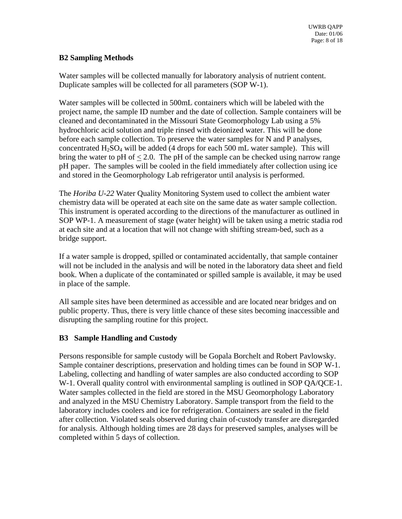# **B2 Sampling Methods**

Water samples will be collected manually for laboratory analysis of nutrient content. Duplicate samples will be collected for all parameters (SOP W-1).

Water samples will be collected in 500mL containers which will be labeled with the project name, the sample ID number and the date of collection. Sample containers will be cleaned and decontaminated in the Missouri State Geomorphology Lab using a 5% hydrochloric acid solution and triple rinsed with deionized water. This will be done before each sample collection. To preserve the water samples for N and P analyses, concentrated  $H_2SO_4$  will be added (4 drops for each 500 mL water sample). This will bring the water to pH of  $< 2.0$ . The pH of the sample can be checked using narrow range pH paper. The samples will be cooled in the field immediately after collection using ice and stored in the Geomorphology Lab refrigerator until analysis is performed.

The *Horiba U-22* Water Quality Monitoring System used to collect the ambient water chemistry data will be operated at each site on the same date as water sample collection. This instrument is operated according to the directions of the manufacturer as outlined in SOP WP-1. A measurement of stage (water height) will be taken using a metric stadia rod at each site and at a location that will not change with shifting stream-bed, such as a bridge support.

If a water sample is dropped, spilled or contaminated accidentally, that sample container will not be included in the analysis and will be noted in the laboratory data sheet and field book. When a duplicate of the contaminated or spilled sample is available, it may be used in place of the sample.

All sample sites have been determined as accessible and are located near bridges and on public property. Thus, there is very little chance of these sites becoming inaccessible and disrupting the sampling routine for this project.

# **B3 Sample Handling and Custody**

Persons responsible for sample custody will be Gopala Borchelt and Robert Pavlowsky. Sample container descriptions, preservation and holding times can be found in SOP W-1. Labeling, collecting and handling of water samples are also conducted according to SOP W-1. Overall quality control with environmental sampling is outlined in SOP OA/OCE-1. Water samples collected in the field are stored in the MSU Geomorphology Laboratory and analyzed in the MSU Chemistry Laboratory. Sample transport from the field to the laboratory includes coolers and ice for refrigeration. Containers are sealed in the field after collection. Violated seals observed during chain of-custody transfer are disregarded for analysis. Although holding times are 28 days for preserved samples, analyses will be completed within 5 days of collection.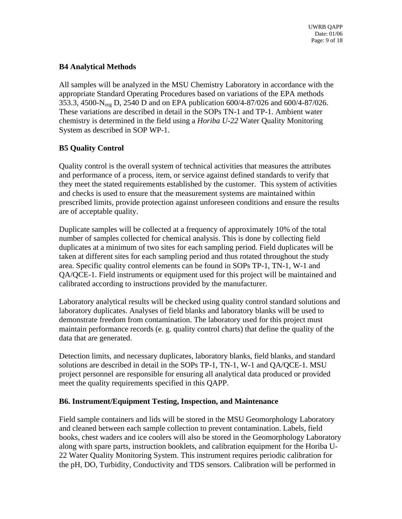# **B4 Analytical Methods**

All samples will be analyzed in the MSU Chemistry Laboratory in accordance with the appropriate Standard Operating Procedures based on variations of the EPA methods 353.3, 4500-Norg D, 2540 D and on EPA publication 600/4-87/026 and 600/4-87/026. These variations are described in detail in the SOPs TN-1 and TP-1. Ambient water chemistry is determined in the field using a *Horiba U-22* Water Quality Monitoring System as described in SOP WP-1.

# **B5 Quality Control**

Quality control is the overall system of technical activities that measures the attributes and performance of a process, item, or service against defined standards to verify that they meet the stated requirements established by the customer. This system of activities and checks is used to ensure that the measurement systems are maintained within prescribed limits, provide protection against unforeseen conditions and ensure the results are of acceptable quality.

Duplicate samples will be collected at a frequency of approximately 10% of the total number of samples collected for chemical analysis. This is done by collecting field duplicates at a minimum of two sites for each sampling period. Field duplicates will be taken at different sites for each sampling period and thus rotated throughout the study area. Specific quality control elements can be found in SOPs TP-1, TN-1, W-1 and QA/QCE-1. Field instruments or equipment used for this project will be maintained and calibrated according to instructions provided by the manufacturer.

Laboratory analytical results will be checked using quality control standard solutions and laboratory duplicates. Analyses of field blanks and laboratory blanks will be used to demonstrate freedom from contamination. The laboratory used for this project must maintain performance records (e. g. quality control charts) that define the quality of the data that are generated.

Detection limits, and necessary duplicates, laboratory blanks, field blanks, and standard solutions are described in detail in the SOPs TP-1, TN-1, W-1 and QA/QCE-1. MSU project personnel are responsible for ensuring all analytical data produced or provided meet the quality requirements specified in this QAPP.

# **B6. Instrument/Equipment Testing, Inspection, and Maintenance**

Field sample containers and lids will be stored in the MSU Geomorphology Laboratory and cleaned between each sample collection to prevent contamination. Labels, field books, chest waders and ice coolers will also be stored in the Geomorphology Laboratory along with spare parts, instruction booklets, and calibration equipment for the Horiba U-22 Water Quality Monitoring System. This instrument requires periodic calibration for the pH, DO, Turbidity, Conductivity and TDS sensors. Calibration will be performed in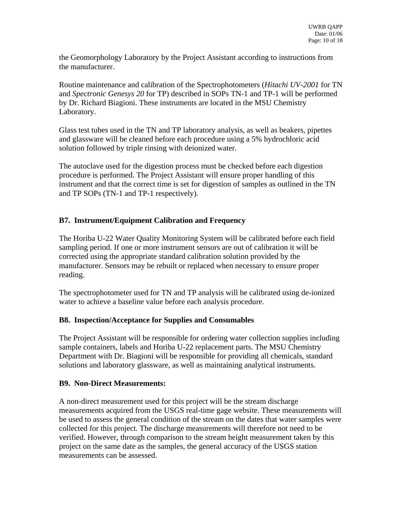the Geomorphology Laboratory by the Project Assistant according to instructions from the manufacturer.

Routine maintenance and calibration of the Spectrophotometers (*Hitachi UV-2001* for TN and *Spectronic Genesys 20* for TP) described in SOPs TN-1 and TP-1 will be performed by Dr. Richard Biagioni. These instruments are located in the MSU Chemistry Laboratory.

Glass test tubes used in the TN and TP laboratory analysis, as well as beakers, pipettes and glassware will be cleaned before each procedure using a 5% hydrochloric acid solution followed by triple rinsing with deionized water.

The autoclave used for the digestion process must be checked before each digestion procedure is performed. The Project Assistant will ensure proper handling of this instrument and that the correct time is set for digestion of samples as outlined in the TN and TP SOPs (TN-1 and TP-1 respectively).

# **B7. Instrument/Equipment Calibration and Frequency**

The Horiba U-22 Water Quality Monitoring System will be calibrated before each field sampling period. If one or more instrument sensors are out of calibration it will be corrected using the appropriate standard calibration solution provided by the manufacturer. Sensors may be rebuilt or replaced when necessary to ensure proper reading.

The spectrophotometer used for TN and TP analysis will be calibrated using de-ionized water to achieve a baseline value before each analysis procedure.

# **B8. Inspection/Acceptance for Supplies and Consumables**

The Project Assistant will be responsible for ordering water collection supplies including sample containers, labels and Horiba U-22 replacement parts. The MSU Chemistry Department with Dr. Biagioni will be responsible for providing all chemicals, standard solutions and laboratory glassware, as well as maintaining analytical instruments.

# **B9. Non-Direct Measurements:**

A non-direct measurement used for this project will be the stream discharge measurements acquired from the USGS real-time gage website. These measurements will be used to assess the general condition of the stream on the dates that water samples were collected for this project. The discharge measurements will therefore not need to be verified. However, through comparison to the stream height measurement taken by this project on the same date as the samples, the general accuracy of the USGS station measurements can be assessed.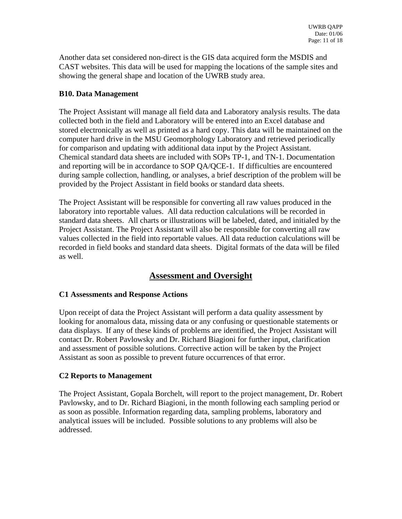Another data set considered non-direct is the GIS data acquired form the MSDIS and CAST websites. This data will be used for mapping the locations of the sample sites and showing the general shape and location of the UWRB study area.

# **B10. Data Management**

The Project Assistant will manage all field data and Laboratory analysis results. The data collected both in the field and Laboratory will be entered into an Excel database and stored electronically as well as printed as a hard copy. This data will be maintained on the computer hard drive in the MSU Geomorphology Laboratory and retrieved periodically for comparison and updating with additional data input by the Project Assistant. Chemical standard data sheets are included with SOPs TP-1, and TN-1. Documentation and reporting will be in accordance to SOP QA/QCE-1. If difficulties are encountered during sample collection, handling, or analyses, a brief description of the problem will be provided by the Project Assistant in field books or standard data sheets.

The Project Assistant will be responsible for converting all raw values produced in the laboratory into reportable values. All data reduction calculations will be recorded in standard data sheets. All charts or illustrations will be labeled, dated, and initialed by the Project Assistant. The Project Assistant will also be responsible for converting all raw values collected in the field into reportable values. All data reduction calculations will be recorded in field books and standard data sheets. Digital formats of the data will be filed as well.

# **Assessment and Oversight**

# **C1 Assessments and Response Actions**

Upon receipt of data the Project Assistant will perform a data quality assessment by looking for anomalous data, missing data or any confusing or questionable statements or data displays. If any of these kinds of problems are identified, the Project Assistant will contact Dr. Robert Pavlowsky and Dr. Richard Biagioni for further input, clarification and assessment of possible solutions. Corrective action will be taken by the Project Assistant as soon as possible to prevent future occurrences of that error.

# **C2 Reports to Management**

The Project Assistant, Gopala Borchelt, will report to the project management, Dr. Robert Pavlowsky, and to Dr. Richard Biagioni, in the month following each sampling period or as soon as possible. Information regarding data, sampling problems, laboratory and analytical issues will be included. Possible solutions to any problems will also be addressed.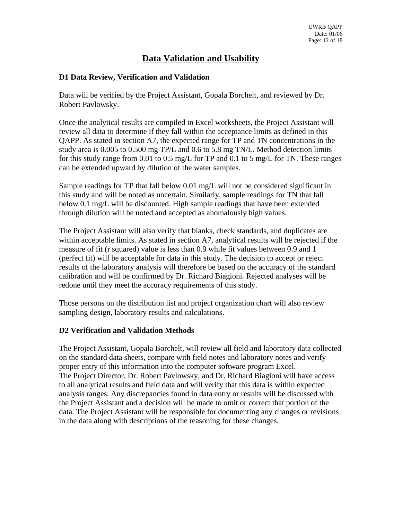# **Data Validation and Usability**

# **D1 Data Review, Verification and Validation**

Data will be verified by the Project Assistant, Gopala Borchelt, and reviewed by Dr. Robert Pavlowsky.

Once the analytical results are compiled in Excel worksheets, the Project Assistant will review all data to determine if they fall within the acceptance limits as defined in this QAPP. As stated in section A7, the expected range for TP and TN concentrations in the study area is 0.005 to 0.500 mg TP/L and 0.6 to 5.8 mg TN/L. Method detection limits for this study range from 0.01 to 0.5 mg/L for TP and 0.1 to 5 mg/L for TN. These ranges can be extended upward by dilution of the water samples.

Sample readings for TP that fall below 0.01 mg/L will not be considered significant in this study and will be noted as uncertain. Similarly, sample readings for TN that fall below 0.1 mg/L will be discounted. High sample readings that have been extended through dilution will be noted and accepted as anomalously high values.

The Project Assistant will also verify that blanks, check standards, and duplicates are within acceptable limits. As stated in section A7, analytical results will be rejected if the measure of fit (r squared) value is less than 0.9 while fit values between 0.9 and 1 (perfect fit) will be acceptable for data in this study. The decision to accept or reject results of the laboratory analysis will therefore be based on the accuracy of the standard calibration and will be confirmed by Dr. Richard Biagioni. Rejected analyses will be redone until they meet the accuracy requirements of this study.

Those persons on the distribution list and project organization chart will also review sampling design, laboratory results and calculations.

# **D2 Verification and Validation Methods**

The Project Assistant, Gopala Borchelt, will review all field and laboratory data collected on the standard data sheets, compare with field notes and laboratory notes and verify proper entry of this information into the computer software program Excel. The Project Director, Dr. Robert Pavlowsky, and Dr. Richard Biagioni will have access to all analytical results and field data and will verify that this data is within expected analysis ranges. Any discrepancies found in data entry or results will be discussed with the Project Assistant and a decision will be made to omit or correct that portion of the data. The Project Assistant will be responsible for documenting any changes or revisions in the data along with descriptions of the reasoning for these changes.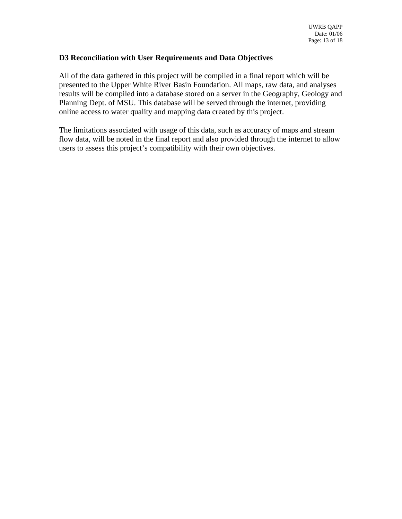#### **D3 Reconciliation with User Requirements and Data Objectives**

All of the data gathered in this project will be compiled in a final report which will be presented to the Upper White River Basin Foundation. All maps, raw data, and analyses results will be compiled into a database stored on a server in the Geography, Geology and Planning Dept. of MSU. This database will be served through the internet, providing online access to water quality and mapping data created by this project.

The limitations associated with usage of this data, such as accuracy of maps and stream flow data, will be noted in the final report and also provided through the internet to allow users to assess this project's compatibility with their own objectives.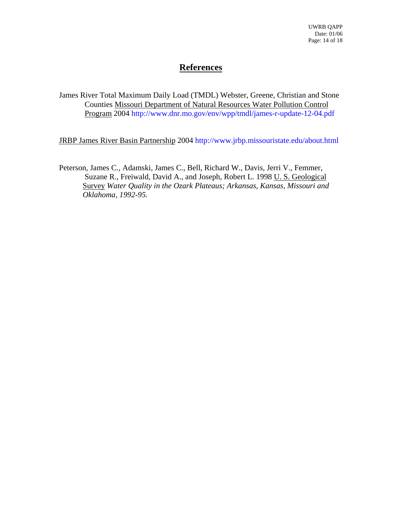# **References**

James River Total Maximum Daily Load (TMDL) Webster, Greene, Christian and Stone Counties Missouri Department of Natural Resources Water Pollution Control Program 2004 http://www.dnr.mo.gov/env/wpp/tmdl/james-r-update-12-04.pdf

JRBP James River Basin Partnership 2004 http://www.jrbp.missouristate.edu/about.html

Peterson, James C., Adamski, James C., Bell, Richard W., Davis, Jerri V., Femmer, Suzane R., Freiwald, David A., and Joseph, Robert L. 1998 U. S. Geological Survey *Water Quality in the Ozark Plateaus; Arkansas, Kansas, Missouri and Oklahoma, 1992-95.*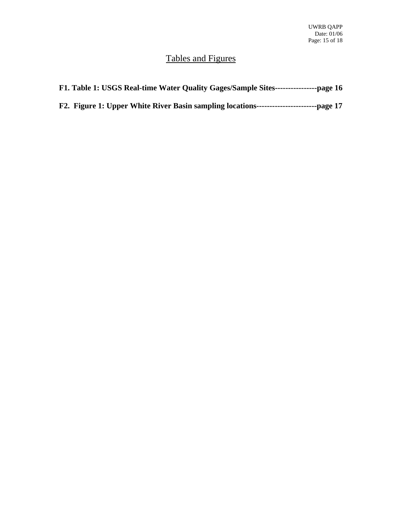# Tables and Figures

| F1. Table 1: USGS Real-time Water Quality Gages/Sample Sites-----------------page 16 |  |
|--------------------------------------------------------------------------------------|--|
|                                                                                      |  |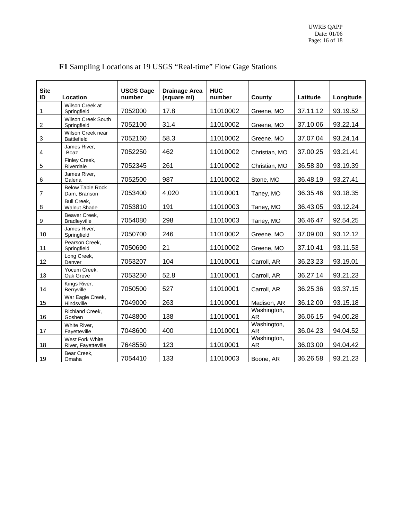| <b>Site</b><br>ID         | Location                                 | <b>USGS Gage</b><br>number | <b>Drainage Area</b><br>(square mi) | <b>HUC</b><br>number | County                   | Latitude | Longitude |
|---------------------------|------------------------------------------|----------------------------|-------------------------------------|----------------------|--------------------------|----------|-----------|
| 1                         | Wilson Creek at<br>Springfield           | 7052000                    | 17.8                                | 11010002             | Greene, MO               | 37.11.12 | 93.19.52  |
| $\overline{c}$            | <b>Wilson Creek South</b><br>Springfield | 7052100                    | 31.4                                | 11010002             | Greene, MO               | 37.10.06 | 93.22.14  |
| $\ensuremath{\mathsf{3}}$ | Wilson Creek near<br><b>Battlefield</b>  | 7052160                    | 58.3                                | 11010002             | Greene, MO               | 37.07.04 | 93.24.14  |
| 4                         | James River,<br><b>Boaz</b>              | 7052250                    | 462                                 | 11010002             | Christian, MO            | 37.00.25 | 93.21.41  |
| 5                         | Finley Creek,<br>Riverdale               | 7052345                    | 261                                 | 11010002             | Christian, MO            | 36.58.30 | 93.19.39  |
| 6                         | James River,<br>Galena                   | 7052500                    | 987                                 | 11010002             | Stone, MO                | 36.48.19 | 93.27.41  |
| $\boldsymbol{7}$          | <b>Below Table Rock</b><br>Dam, Branson  | 7053400                    | 4,020                               | 11010001             | Taney, MO                | 36.35.46 | 93.18.35  |
| $\bf8$                    | <b>Bull Creek,</b><br>Walnut Shade       | 7053810                    | 191                                 | 11010003             | Taney, MO                | 36.43.05 | 93.12.24  |
| 9                         | Beaver Creek,<br>Bradleyville            | 7054080                    | 298                                 | 11010003             | Taney, MO                | 36.46.47 | 92.54.25  |
| 10                        | James River.<br>Springfield              | 7050700                    | 246                                 | 11010002             | Greene, MO               | 37.09.00 | 93.12.12  |
| 11                        | Pearson Creek.<br>Springfield            | 7050690                    | 21                                  | 11010002             | Greene, MO               | 37.10.41 | 93.11.53  |
| 12                        | Long Creek,<br>Denver                    | 7053207                    | 104                                 | 11010001             | Carroll, AR              | 36.23.23 | 93.19.01  |
| 13                        | Yocum Creek.<br>Oak Grove                | 7053250                    | 52.8                                | 11010001             | Carroll, AR              | 36.27.14 | 93.21.23  |
| 14                        | Kings River,<br>Berryville               | 7050500                    | 527                                 | 11010001             | Carroll, AR              | 36.25.36 | 93.37.15  |
| 15                        | War Eagle Creek,<br>Hindsville           | 7049000                    | 263                                 | 11010001             | Madison, AR              | 36.12.00 | 93.15.18  |
| 16                        | Richland Creek,<br>Goshen                | 7048800                    | 138                                 | 11010001             | Washington,<br><b>AR</b> | 36.06.15 | 94.00.28  |
| 17                        | White River,<br>Fayetteville             | 7048600                    | 400                                 | 11010001             | Washington,<br><b>AR</b> | 36.04.23 | 94.04.52  |
| 18                        | West Fork White<br>River, Fayetteville   | 7648550                    | 123                                 | 11010001             | Washington,<br><b>AR</b> | 36.03.00 | 94.04.42  |
| 19                        | Bear Creek,<br>Omaha                     | 7054410                    | 133                                 | 11010003             | Boone, AR                | 36.26.58 | 93.21.23  |

# **F1** Sampling Locations at 19 USGS "Real-time" Flow Gage Stations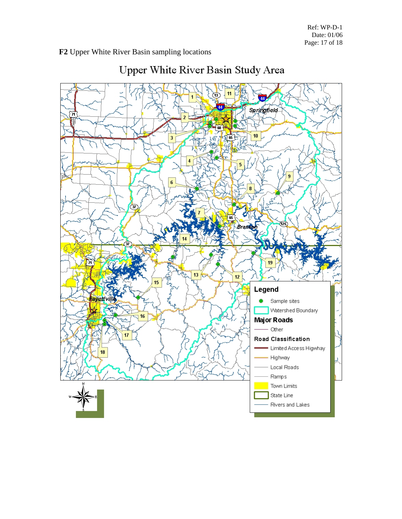#### **F2** Upper White River Basin sam pling locations



# Upper White River Basin Study Area